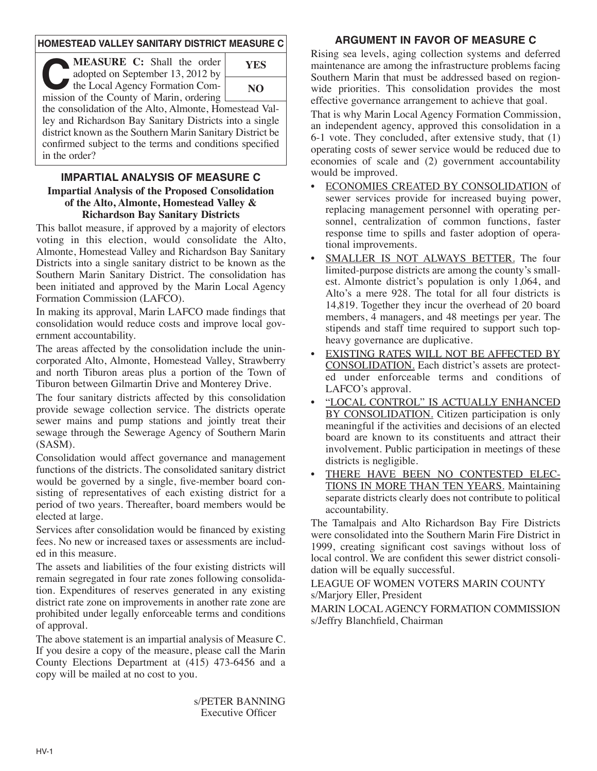### **HOMESTEAD VALLEY SANITARY DISTRICT MEASURE C**

**CEASURE C:** Shall the order<br>
adopted on September 13, 2012 by<br>
the Local Agency Formation Com-<br>
mission of the County of Marin ordering adopted on September 13, 2012 by mission of the County of Marin, ordering



the consolidation of the Alto, Almonte, Homestead Valley and Richardson Bay Sanitary Districts into a single district known as the Southern Marin Sanitary District be confirmed subject to the terms and conditions specified in the order?

### **IMPARTIAL ANALYSIS OF MEASURE C Impartial Analysis of the Proposed Consolidation of the Alto, Almonte, Homestead Valley & Richardson Bay Sanitary Districts**

This ballot measure, if approved by a majority of electors voting in this election, would consolidate the Alto, Almonte, Homestead Valley and Richardson Bay Sanitary Districts into a single sanitary district to be known as the Southern Marin Sanitary District. The consolidation has been initiated and approved by the Marin Local Agency Formation Commission (LAFCO).

In making its approval, Marin LAFCO made findings that consolidation would reduce costs and improve local government accountability.

The areas affected by the consolidation include the unincorporated Alto, Almonte, Homestead Valley, Strawberry and north Tiburon areas plus a portion of the Town of Tiburon between Gilmartin Drive and Monterey Drive.

The four sanitary districts affected by this consolidation provide sewage collection service. The districts operate sewer mains and pump stations and jointly treat their sewage through the Sewerage Agency of Southern Marin (SASM).

Consolidation would affect governance and management functions of the districts. The consolidated sanitary district would be governed by a single, five-member board consisting of representatives of each existing district for a period of two years. Thereafter, board members would be elected at large.

Services after consolidation would be financed by existing fees. No new or increased taxes or assessments are included in this measure.

The assets and liabilities of the four existing districts will remain segregated in four rate zones following consolidation. Expenditures of reserves generated in any existing district rate zone on improvements in another rate zone are prohibited under legally enforceable terms and conditions of approval.

The above statement is an impartial analysis of Measure C. If you desire a copy of the measure, please call the Marin County Elections Department at (415) 473-6456 and a copy will be mailed at no cost to you.

> s/PETER BANNING Executive Officer

## **ARGUMENT IN FAVOR OF MEASURE C**

Rising sea levels, aging collection systems and deferred maintenance are among the infrastructure problems facing Southern Marin that must be addressed based on regionwide priorities. This consolidation provides the most effective governance arrangement to achieve that goal.

That is why Marin Local Agency Formation Commission, an independent agency, approved this consolidation in a 6-1 vote. They concluded, after extensive study, that (1) operating costs of sewer service would be reduced due to economies of scale and (2) government accountability would be improved.

- ECONOMIES CREATED BY CONSOLIDATION of sewer services provide for increased buying power, replacing management personnel with operating personnel, centralization of common functions, faster response time to spills and faster adoption of operational improvements.
- SMALLER IS NOT ALWAYS BETTER. The four limited-purpose districts are among the county's smallest. Almonte district's population is only 1,064, and Alto's a mere 928. The total for all four districts is 14,819. Together they incur the overhead of 20 board members, 4 managers, and 48 meetings per year. The stipends and staff time required to support such topheavy governance are duplicative.
- EXISTING RATES WILL NOT BE AFFECTED BY CONSOLIDATION. Each district's assets are protected under enforceable terms and conditions of LAFCO's approval.
- "LOCAL CONTROL" IS ACTUALLY ENHANCED BY CONSOLIDATION. Citizen participation is only meaningful if the activities and decisions of an elected board are known to its constituents and attract their involvement. Public participation in meetings of these districts is negligible.
- THERE HAVE BEEN NO CONTESTED ELEC-TIONS IN MORE THAN TEN YEARS. Maintaining separate districts clearly does not contribute to political accountability.

The Tamalpais and Alto Richardson Bay Fire Districts were consolidated into the Southern Marin Fire District in 1999, creating significant cost savings without loss of local control. We are confident this sewer district consolidation will be equally successful.

LEAGUE OF WOMEN VOTERS MARIN COUNTY s/Marjory Eller, President

MARIN LOCALAGENCY FORMATION COMMISSION s/Jeffry Blanchfield, Chairman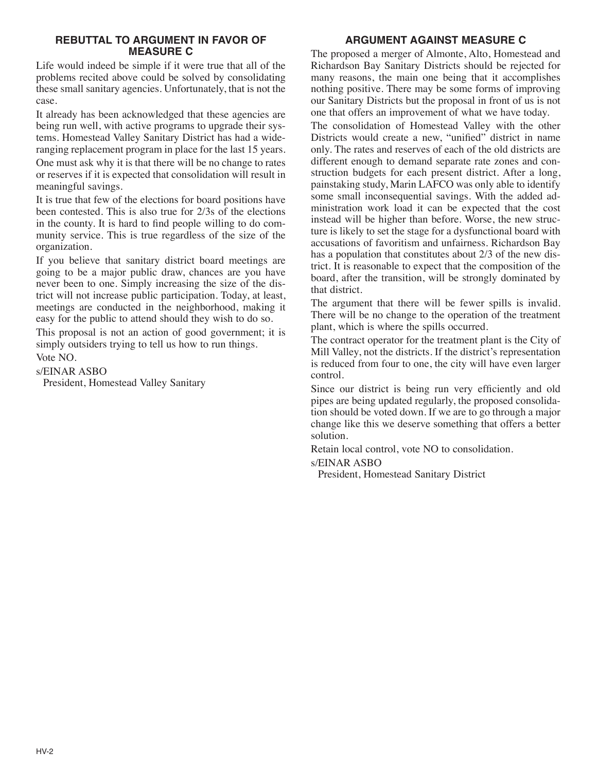#### **REBUTTAL TO ARGUMENT IN FAVOR OF MEASURE C**

Life would indeed be simple if it were true that all of the problems recited above could be solved by consolidating these small sanitary agencies. Unfortunately, that is not the case.

It already has been acknowledged that these agencies are being run well, with active programs to upgrade their systems. Homestead Valley Sanitary District has had a wideranging replacement program in place for the last 15 years.

One must ask why it is that there will be no change to rates or reserves if it is expected that consolidation will result in meaningful savings.

It is true that few of the elections for board positions have been contested. This is also true for 2/3s of the elections in the county. It is hard to find people willing to do community service. This is true regardless of the size of the organization.

If you believe that sanitary district board meetings are going to be a major public draw, chances are you have never been to one. Simply increasing the size of the district will not increase public participation. Today, at least, meetings are conducted in the neighborhood, making it easy for the public to attend should they wish to do so.

This proposal is not an action of good government; it is simply outsiders trying to tell us how to run things. Vote NO.

s/EINAR ASBO

President, Homestead Valley Sanitary

# **ARGUMENT AGAINST MEASURE C**

The proposed a merger of Almonte, Alto, Homestead and Richardson Bay Sanitary Districts should be rejected for many reasons, the main one being that it accomplishes nothing positive. There may be some forms of improving our Sanitary Districts but the proposal in front of us is not one that offers an improvement of what we have today.

The consolidation of Homestead Valley with the other Districts would create a new, "unified" district in name only. The rates and reserves of each of the old districts are different enough to demand separate rate zones and construction budgets for each present district. After a long, painstaking study, Marin LAFCO was only able to identify some small inconsequential savings. With the added administration work load it can be expected that the cost instead will be higher than before. Worse, the new structure is likely to set the stage for a dysfunctional board with accusations of favoritism and unfairness. Richardson Bay has a population that constitutes about 2/3 of the new district. It is reasonable to expect that the composition of the board, after the transition, will be strongly dominated by that district.

The argument that there will be fewer spills is invalid. There will be no change to the operation of the treatment plant, which is where the spills occurred.

The contract operator for the treatment plant is the City of Mill Valley, not the districts. If the district's representation is reduced from four to one, the city will have even larger control.

Since our district is being run very efficiently and old pipes are being updated regularly, the proposed consolidation should be voted down. If we are to go through a major change like this we deserve something that offers a better solution.

Retain local control, vote NO to consolidation.

s/EINAR ASBO

President, Homestead Sanitary District